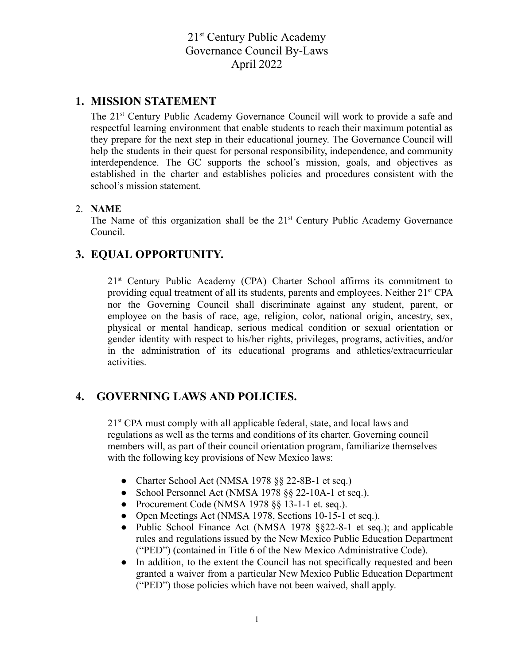### **1. MISSION STATEMENT**

The 21<sup>st</sup> Century Public Academy Governance Council will work to provide a safe and respectful learning environment that enable students to reach their maximum potential as they prepare for the next step in their educational journey. The Governance Council will help the students in their quest for personal responsibility, independence, and community interdependence. The GC supports the school's mission, goals, and objectives as established in the charter and establishes policies and procedures consistent with the school's mission statement.

#### 2. **NAME**

The Name of this organization shall be the  $21<sup>st</sup>$  Century Public Academy Governance Council.

### **3. EQUAL OPPORTUNITY.**

21<sup>st</sup> Century Public Academy (CPA) Charter School affirms its commitment to providing equal treatment of all its students, parents and employees. Neither  $21<sup>st</sup>$  CPA nor the Governing Council shall discriminate against any student, parent, or employee on the basis of race, age, religion, color, national origin, ancestry, sex, physical or mental handicap, serious medical condition or sexual orientation or gender identity with respect to his/her rights, privileges, programs, activities, and/or in the administration of its educational programs and athletics/extracurricular activities.

### **4. GOVERNING LAWS AND POLICIES.**

 $21<sup>st</sup>$  CPA must comply with all applicable federal, state, and local laws and regulations as well as the terms and conditions of its charter. Governing council members will, as part of their council orientation program, familiarize themselves with the following key provisions of New Mexico laws:

- **●** Charter School Act (NMSA 1978 §§ 22-8B-1 et seq.)
- **●** School Personnel Act (NMSA 1978 §§ 22-10A-1 et seq.).
- **●** Procurement Code (NMSA 1978 §§ 13-1-1 et. seq.).
- **●** Open Meetings Act (NMSA 1978, Sections 10-15-1 et seq.).
- **●** Public School Finance Act (NMSA 1978 §§22-8-1 et seq.); and applicable rules and regulations issued by the New Mexico Public Education Department ("PED") (contained in Title 6 of the New Mexico Administrative Code).
- **●** In addition, to the extent the Council has not specifically requested and been granted a waiver from a particular New Mexico Public Education Department ("PED") those policies which have not been waived, shall apply.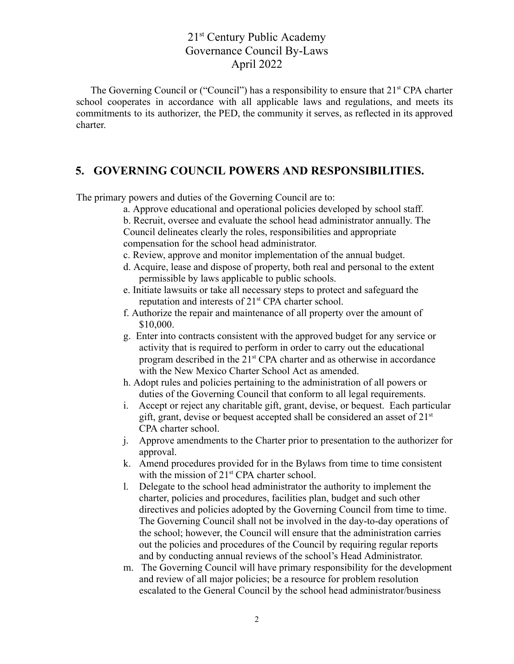The Governing Council or ("Council") has a responsibility to ensure that  $21<sup>st</sup>$  CPA charter school cooperates in accordance with all applicable laws and regulations, and meets its commitments to its authorizer, the PED, the community it serves, as reflected in its approved charter.

### **5. GOVERNING COUNCIL POWERS AND RESPONSIBILITIES.**

The primary powers and duties of the Governing Council are to:

a. Approve educational and operational policies developed by school staff. b. Recruit, oversee and evaluate the school head administrator annually. The Council delineates clearly the roles, responsibilities and appropriate compensation for the school head administrator.

- c. Review, approve and monitor implementation of the annual budget.
- d. Acquire, lease and dispose of property, both real and personal to the extent permissible by laws applicable to public schools.
- e. Initiate lawsuits or take all necessary steps to protect and safeguard the reputation and interests of 21<sup>st</sup> CPA charter school.
- f. Authorize the repair and maintenance of all property over the amount of \$10,000.
- g. Enter into contracts consistent with the approved budget for any service or activity that is required to perform in order to carry out the educational program described in the  $21<sup>st</sup>$  CPA charter and as otherwise in accordance with the New Mexico Charter School Act as amended.
- h. Adopt rules and policies pertaining to the administration of all powers or duties of the Governing Council that conform to all legal requirements.
- i. Accept or reject any charitable gift, grant, devise, or bequest. Each particular gift, grant, devise or bequest accepted shall be considered an asset of  $21<sup>st</sup>$ CPA charter school.
- j. Approve amendments to the Charter prior to presentation to the authorizer for approval.
- k. Amend procedures provided for in the Bylaws from time to time consistent with the mission of 21<sup>st</sup> CPA charter school.
- l. Delegate to the school head administrator the authority to implement the charter, policies and procedures, facilities plan, budget and such other directives and policies adopted by the Governing Council from time to time. The Governing Council shall not be involved in the day-to-day operations of the school; however, the Council will ensure that the administration carries out the policies and procedures of the Council by requiring regular reports and by conducting annual reviews of the school's Head Administrator.
- m. The Governing Council will have primary responsibility for the development and review of all major policies; be a resource for problem resolution escalated to the General Council by the school head administrator/business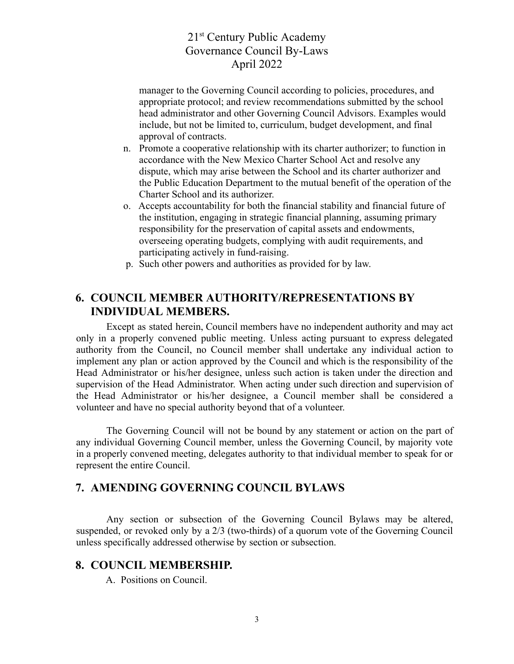manager to the Governing Council according to policies, procedures, and appropriate protocol; and review recommendations submitted by the school head administrator and other Governing Council Advisors. Examples would include, but not be limited to, curriculum, budget development, and final approval of contracts.

- n. Promote a cooperative relationship with its charter authorizer; to function in accordance with the New Mexico Charter School Act and resolve any dispute, which may arise between the School and its charter authorizer and the Public Education Department to the mutual benefit of the operation of the Charter School and its authorizer.
- o. Accepts accountability for both the financial stability and financial future of the institution, engaging in strategic financial planning, assuming primary responsibility for the preservation of capital assets and endowments, overseeing operating budgets, complying with audit requirements, and participating actively in fund-raising.
- p. Such other powers and authorities as provided for by law.

### **6. COUNCIL MEMBER AUTHORITY/REPRESENTATIONS BY INDIVIDUAL MEMBERS.**

Except as stated herein, Council members have no independent authority and may act only in a properly convened public meeting. Unless acting pursuant to express delegated authority from the Council, no Council member shall undertake any individual action to implement any plan or action approved by the Council and which is the responsibility of the Head Administrator or his/her designee, unless such action is taken under the direction and supervision of the Head Administrator. When acting under such direction and supervision of the Head Administrator or his/her designee, a Council member shall be considered a volunteer and have no special authority beyond that of a volunteer.

The Governing Council will not be bound by any statement or action on the part of any individual Governing Council member, unless the Governing Council, by majority vote in a properly convened meeting, delegates authority to that individual member to speak for or represent the entire Council.

### **7. AMENDING GOVERNING COUNCIL BYLAWS**

Any section or subsection of the Governing Council Bylaws may be altered, suspended, or revoked only by a 2/3 (two-thirds) of a quorum vote of the Governing Council unless specifically addressed otherwise by section or subsection.

#### **8. COUNCIL MEMBERSHIP.**

A. Positions on Council.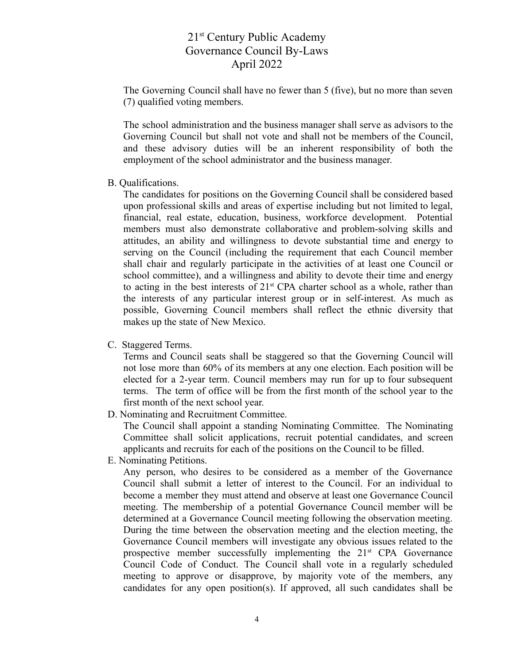The Governing Council shall have no fewer than 5 (five), but no more than seven (7) qualified voting members.

The school administration and the business manager shall serve as advisors to the Governing Council but shall not vote and shall not be members of the Council, and these advisory duties will be an inherent responsibility of both the employment of the school administrator and the business manager.

B. Qualifications.

The candidates for positions on the Governing Council shall be considered based upon professional skills and areas of expertise including but not limited to legal, financial, real estate, education, business, workforce development. Potential members must also demonstrate collaborative and problem-solving skills and attitudes, an ability and willingness to devote substantial time and energy to serving on the Council (including the requirement that each Council member shall chair and regularly participate in the activities of at least one Council or school committee), and a willingness and ability to devote their time and energy to acting in the best interests of  $21<sup>st</sup>$  CPA charter school as a whole, rather than the interests of any particular interest group or in self-interest. As much as possible, Governing Council members shall reflect the ethnic diversity that makes up the state of New Mexico.

C. Staggered Terms.

Terms and Council seats shall be staggered so that the Governing Council will not lose more than 60% of its members at any one election. Each position will be elected for a 2-year term. Council members may run for up to four subsequent terms. The term of office will be from the first month of the school year to the first month of the next school year.

D. Nominating and Recruitment Committee.

The Council shall appoint a standing Nominating Committee. The Nominating Committee shall solicit applications, recruit potential candidates, and screen applicants and recruits for each of the positions on the Council to be filled.

E. Nominating Petitions.

Any person, who desires to be considered as a member of the Governance Council shall submit a letter of interest to the Council. For an individual to become a member they must attend and observe at least one Governance Council meeting. The membership of a potential Governance Council member will be determined at a Governance Council meeting following the observation meeting. During the time between the observation meeting and the election meeting, the Governance Council members will investigate any obvious issues related to the prospective member successfully implementing the  $21<sup>st</sup>$  CPA Governance Council Code of Conduct. The Council shall vote in a regularly scheduled meeting to approve or disapprove, by majority vote of the members, any candidates for any open position(s). If approved, all such candidates shall be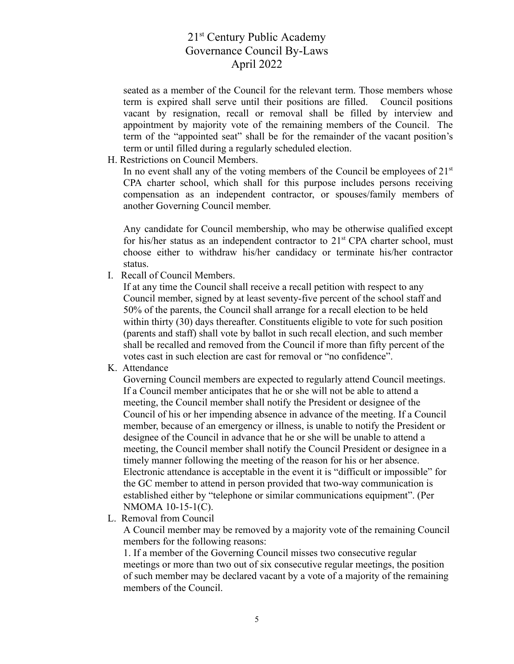seated as a member of the Council for the relevant term. Those members whose term is expired shall serve until their positions are filled. Council positions vacant by resignation, recall or removal shall be filled by interview and appointment by majority vote of the remaining members of the Council. The term of the "appointed seat" shall be for the remainder of the vacant position's term or until filled during a regularly scheduled election.

H. Restrictions on Council Members.

In no event shall any of the voting members of the Council be employees of  $21<sup>st</sup>$ CPA charter school, which shall for this purpose includes persons receiving compensation as an independent contractor, or spouses/family members of another Governing Council member.

Any candidate for Council membership, who may be otherwise qualified except for his/her status as an independent contractor to  $21<sup>st</sup>$  CPA charter school, must choose either to withdraw his/her candidacy or terminate his/her contractor status.

I. Recall of Council Members.

If at any time the Council shall receive a recall petition with respect to any Council member, signed by at least seventy-five percent of the school staff and 50% of the parents, the Council shall arrange for a recall election to be held within thirty (30) days thereafter. Constituents eligible to vote for such position (parents and staff) shall vote by ballot in such recall election, and such member shall be recalled and removed from the Council if more than fifty percent of the votes cast in such election are cast for removal or "no confidence".

K. Attendance

Governing Council members are expected to regularly attend Council meetings. If a Council member anticipates that he or she will not be able to attend a meeting, the Council member shall notify the President or designee of the Council of his or her impending absence in advance of the meeting. If a Council member, because of an emergency or illness, is unable to notify the President or designee of the Council in advance that he or she will be unable to attend a meeting, the Council member shall notify the Council President or designee in a timely manner following the meeting of the reason for his or her absence. Electronic attendance is acceptable in the event it is "difficult or impossible" for the GC member to attend in person provided that two-way communication is established either by "telephone or similar communications equipment". (Per NMOMA 10-15-1(C).

L. Removal from Council

A Council member may be removed by a majority vote of the remaining Council members for the following reasons:

1. If a member of the Governing Council misses two consecutive regular meetings or more than two out of six consecutive regular meetings, the position of such member may be declared vacant by a vote of a majority of the remaining members of the Council.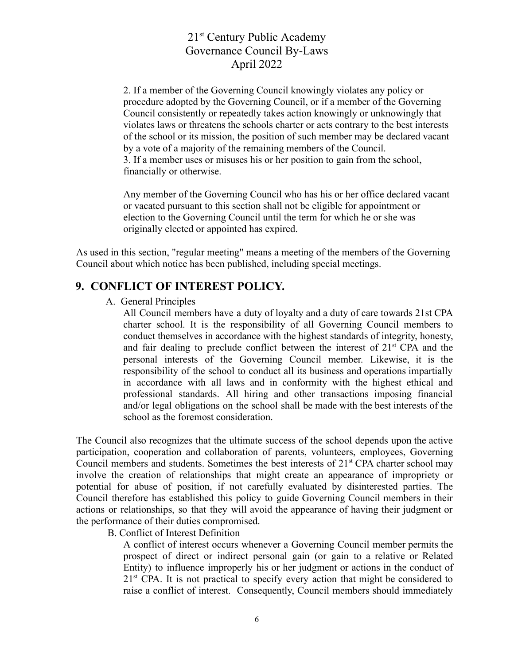2. If a member of the Governing Council knowingly violates any policy or procedure adopted by the Governing Council, or if a member of the Governing Council consistently or repeatedly takes action knowingly or unknowingly that violates laws or threatens the schools charter or acts contrary to the best interests of the school or its mission, the position of such member may be declared vacant by a vote of a majority of the remaining members of the Council. 3. If a member uses or misuses his or her position to gain from the school, financially or otherwise.

Any member of the Governing Council who has his or her office declared vacant or vacated pursuant to this section shall not be eligible for appointment or election to the Governing Council until the term for which he or she was originally elected or appointed has expired.

As used in this section, "regular meeting" means a meeting of the members of the Governing Council about which notice has been published, including special meetings.

### **9. CONFLICT OF INTEREST POLICY.**

A. General Principles

All Council members have a duty of loyalty and a duty of care towards 21st CPA charter school. It is the responsibility of all Governing Council members to conduct themselves in accordance with the highest standards of integrity, honesty, and fair dealing to preclude conflict between the interest of  $21<sup>st</sup>$  CPA and the personal interests of the Governing Council member. Likewise, it is the responsibility of the school to conduct all its business and operations impartially in accordance with all laws and in conformity with the highest ethical and professional standards. All hiring and other transactions imposing financial and/or legal obligations on the school shall be made with the best interests of the school as the foremost consideration.

The Council also recognizes that the ultimate success of the school depends upon the active participation, cooperation and collaboration of parents, volunteers, employees, Governing Council members and students. Sometimes the best interests of 21<sup>st</sup> CPA charter school may involve the creation of relationships that might create an appearance of impropriety or potential for abuse of position, if not carefully evaluated by disinterested parties. The Council therefore has established this policy to guide Governing Council members in their actions or relationships, so that they will avoid the appearance of having their judgment or the performance of their duties compromised.

B. Conflict of Interest Definition

A conflict of interest occurs whenever a Governing Council member permits the prospect of direct or indirect personal gain (or gain to a relative or Related Entity) to influence improperly his or her judgment or actions in the conduct of  $21<sup>st</sup>$  CPA. It is not practical to specify every action that might be considered to raise a conflict of interest. Consequently, Council members should immediately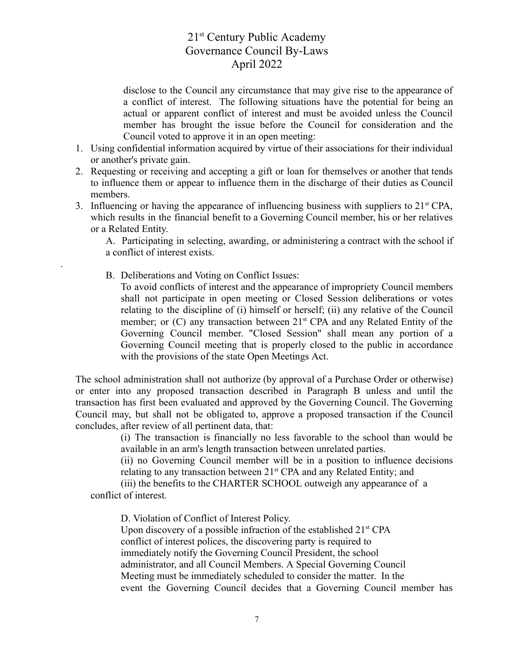disclose to the Council any circumstance that may give rise to the appearance of a conflict of interest. The following situations have the potential for being an actual or apparent conflict of interest and must be avoided unless the Council member has brought the issue before the Council for consideration and the Council voted to approve it in an open meeting:

- 1. Using confidential information acquired by virtue of their associations for their individual or another's private gain.
- 2. Requesting or receiving and accepting a gift or loan for themselves or another that tends to influence them or appear to influence them in the discharge of their duties as Council members.
- 3. Influencing or having the appearance of influencing business with suppliers to  $21<sup>st</sup>$  CPA, which results in the financial benefit to a Governing Council member, his or her relatives or a Related Entity.

A. Participating in selecting, awarding, or administering a contract with the school if a conflict of interest exists.

B. Deliberations and Voting on Conflict Issues:

.

To avoid conflicts of interest and the appearance of impropriety Council members shall not participate in open meeting or Closed Session deliberations or votes relating to the discipline of (i) himself or herself; (ii) any relative of the Council member; or  $(C)$  any transaction between  $21<sup>st</sup>$  CPA and any Related Entity of the Governing Council member. "Closed Session" shall mean any portion of a Governing Council meeting that is properly closed to the public in accordance with the provisions of the state Open Meetings Act.

The school administration shall not authorize (by approval of a Purchase Order or otherwise) or enter into any proposed transaction described in Paragraph B unless and until the transaction has first been evaluated and approved by the Governing Council. The Governing Council may, but shall not be obligated to, approve a proposed transaction if the Council concludes, after review of all pertinent data, that:

> (i) The transaction is financially no less favorable to the school than would be available in an arm's length transaction between unrelated parties.

> (ii) no Governing Council member will be in a position to influence decisions relating to any transaction between  $21<sup>st</sup>$  CPA and any Related Entity; and

(iii) the benefits to the CHARTER SCHOOL outweigh any appearance of a conflict of interest.

D. Violation of Conflict of Interest Policy.

Upon discovery of a possible infraction of the established  $21<sup>st</sup>$  CPA conflict of interest polices, the discovering party is required to immediately notify the Governing Council President, the school administrator, and all Council Members. A Special Governing Council Meeting must be immediately scheduled to consider the matter. In the event the Governing Council decides that a Governing Council member has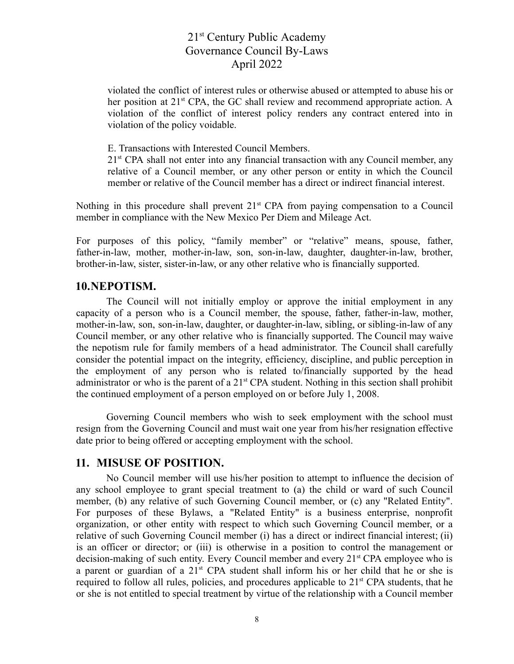violated the conflict of interest rules or otherwise abused or attempted to abuse his or her position at 21<sup>st</sup> CPA, the GC shall review and recommend appropriate action. A violation of the conflict of interest policy renders any contract entered into in violation of the policy voidable.

E. Transactions with Interested Council Members.

 $21<sup>st</sup>$  CPA shall not enter into any financial transaction with any Council member, any relative of a Council member, or any other person or entity in which the Council member or relative of the Council member has a direct or indirect financial interest.

Nothing in this procedure shall prevent  $21<sup>st</sup>$  CPA from paying compensation to a Council member in compliance with the New Mexico Per Diem and Mileage Act.

For purposes of this policy, "family member" or "relative" means, spouse, father, father-in-law, mother, mother-in-law, son, son-in-law, daughter, daughter-in-law, brother, brother-in-law, sister, sister-in-law, or any other relative who is financially supported.

### **10.NEPOTISM.**

The Council will not initially employ or approve the initial employment in any capacity of a person who is a Council member, the spouse, father, father-in-law, mother, mother-in-law, son, son-in-law, daughter, or daughter-in-law, sibling, or sibling-in-law of any Council member, or any other relative who is financially supported. The Council may waive the nepotism rule for family members of a head administrator. The Council shall carefully consider the potential impact on the integrity, efficiency, discipline, and public perception in the employment of any person who is related to/financially supported by the head administrator or who is the parent of a  $21<sup>st</sup>$  CPA student. Nothing in this section shall prohibit the continued employment of a person employed on or before July 1, 2008.

Governing Council members who wish to seek employment with the school must resign from the Governing Council and must wait one year from his/her resignation effective date prior to being offered or accepting employment with the school.

### **11. MISUSE OF POSITION.**

No Council member will use his/her position to attempt to influence the decision of any school employee to grant special treatment to (a) the child or ward of such Council member, (b) any relative of such Governing Council member, or (c) any "Related Entity". For purposes of these Bylaws, a "Related Entity" is a business enterprise, nonprofit organization, or other entity with respect to which such Governing Council member, or a relative of such Governing Council member (i) has a direct or indirect financial interest; (ii) is an officer or director; or (iii) is otherwise in a position to control the management or decision-making of such entity. Every Council member and every 21<sup>st</sup> CPA employee who is a parent or guardian of a  $21<sup>st</sup>$  CPA student shall inform his or her child that he or she is required to follow all rules, policies, and procedures applicable to 21<sup>st</sup> CPA students, that he or she is not entitled to special treatment by virtue of the relationship with a Council member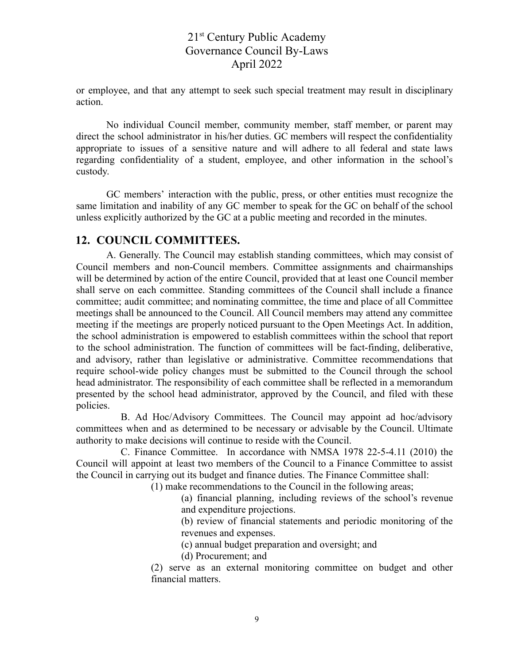or employee, and that any attempt to seek such special treatment may result in disciplinary action.

No individual Council member, community member, staff member, or parent may direct the school administrator in his/her duties. GC members will respect the confidentiality appropriate to issues of a sensitive nature and will adhere to all federal and state laws regarding confidentiality of a student, employee, and other information in the school's custody.

GC members' interaction with the public, press, or other entities must recognize the same limitation and inability of any GC member to speak for the GC on behalf of the school unless explicitly authorized by the GC at a public meeting and recorded in the minutes.

### **12. COUNCIL COMMITTEES.**

A. Generally. The Council may establish standing committees, which may consist of Council members and non-Council members. Committee assignments and chairmanships will be determined by action of the entire Council, provided that at least one Council member shall serve on each committee. Standing committees of the Council shall include a finance committee; audit committee; and nominating committee, the time and place of all Committee meetings shall be announced to the Council. All Council members may attend any committee meeting if the meetings are properly noticed pursuant to the Open Meetings Act. In addition, the school administration is empowered to establish committees within the school that report to the school administration. The function of committees will be fact-finding, deliberative, and advisory, rather than legislative or administrative. Committee recommendations that require school-wide policy changes must be submitted to the Council through the school head administrator. The responsibility of each committee shall be reflected in a memorandum presented by the school head administrator, approved by the Council, and filed with these policies.

B. Ad Hoc/Advisory Committees. The Council may appoint ad hoc/advisory committees when and as determined to be necessary or advisable by the Council. Ultimate authority to make decisions will continue to reside with the Council.

C. Finance Committee. In accordance with NMSA 1978 22-5-4.11 (2010) the Council will appoint at least two members of the Council to a Finance Committee to assist the Council in carrying out its budget and finance duties. The Finance Committee shall:

(1) make recommendations to the Council in the following areas;

(a) financial planning, including reviews of the school's revenue and expenditure projections.

(b) review of financial statements and periodic monitoring of the revenues and expenses.

(c) annual budget preparation and oversight; and

(d) Procurement; and

(2) serve as an external monitoring committee on budget and other financial matters.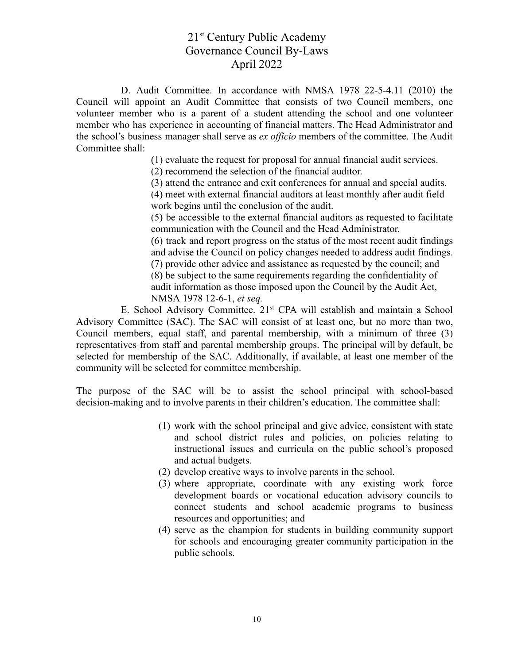D. Audit Committee. In accordance with NMSA 1978 22-5-4.11 (2010) the Council will appoint an Audit Committee that consists of two Council members, one volunteer member who is a parent of a student attending the school and one volunteer member who has experience in accounting of financial matters. The Head Administrator and the school's business manager shall serve as *ex officio* members of the committee. The Audit Committee shall:

(1) evaluate the request for proposal for annual financial audit services.

(2) recommend the selection of the financial auditor.

(3) attend the entrance and exit conferences for annual and special audits. (4) meet with external financial auditors at least monthly after audit field

work begins until the conclusion of the audit.

(5) be accessible to the external financial auditors as requested to facilitate communication with the Council and the Head Administrator.

(6) track and report progress on the status of the most recent audit findings and advise the Council on policy changes needed to address audit findings.

(7) provide other advice and assistance as requested by the council; and (8) be subject to the same requirements regarding the confidentiality of audit information as those imposed upon the Council by the Audit Act, NMSA 1978 12-6-1, *et seq.*

E. School Advisory Committee. 21<sup>st</sup> CPA will establish and maintain a School Advisory Committee (SAC). The SAC will consist of at least one, but no more than two, Council members, equal staff, and parental membership, with a minimum of three (3) representatives from staff and parental membership groups. The principal will by default, be selected for membership of the SAC. Additionally, if available, at least one member of the community will be selected for committee membership.

The purpose of the SAC will be to assist the school principal with school-based decision-making and to involve parents in their children's education. The committee shall:

- (1) work with the school principal and give advice, consistent with state and school district rules and policies, on policies relating to instructional issues and curricula on the public school's proposed and actual budgets.
- (2) develop creative ways to involve parents in the school.
- (3) where appropriate, coordinate with any existing work force development boards or vocational education advisory councils to connect students and school academic programs to business resources and opportunities; and
- (4) serve as the champion for students in building community support for schools and encouraging greater community participation in the public schools.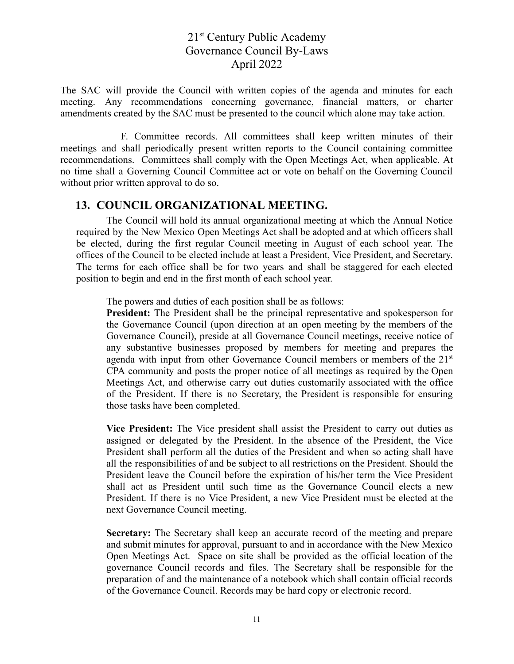The SAC will provide the Council with written copies of the agenda and minutes for each meeting. Any recommendations concerning governance, financial matters, or charter amendments created by the SAC must be presented to the council which alone may take action.

F. Committee records. All committees shall keep written minutes of their meetings and shall periodically present written reports to the Council containing committee recommendations. Committees shall comply with the Open Meetings Act, when applicable. At no time shall a Governing Council Committee act or vote on behalf on the Governing Council without prior written approval to do so.

### **13. COUNCIL ORGANIZATIONAL MEETING.**

The Council will hold its annual organizational meeting at which the Annual Notice required by the New Mexico Open Meetings Act shall be adopted and at which officers shall be elected, during the first regular Council meeting in August of each school year. The offices of the Council to be elected include at least a President, Vice President, and Secretary. The terms for each office shall be for two years and shall be staggered for each elected position to begin and end in the first month of each school year.

The powers and duties of each position shall be as follows:

**President:** The President shall be the principal representative and spokesperson for the Governance Council (upon direction at an open meeting by the members of the Governance Council), preside at all Governance Council meetings, receive notice of any substantive businesses proposed by members for meeting and prepares the agenda with input from other Governance Council members or members of the 21<sup>st</sup> CPA community and posts the proper notice of all meetings as required by the Open Meetings Act, and otherwise carry out duties customarily associated with the office of the President. If there is no Secretary, the President is responsible for ensuring those tasks have been completed.

**Vice President:** The Vice president shall assist the President to carry out duties as assigned or delegated by the President. In the absence of the President, the Vice President shall perform all the duties of the President and when so acting shall have all the responsibilities of and be subject to all restrictions on the President. Should the President leave the Council before the expiration of his/her term the Vice President shall act as President until such time as the Governance Council elects a new President. If there is no Vice President, a new Vice President must be elected at the next Governance Council meeting.

**Secretary:** The Secretary shall keep an accurate record of the meeting and prepare and submit minutes for approval, pursuant to and in accordance with the New Mexico Open Meetings Act. Space on site shall be provided as the official location of the governance Council records and files. The Secretary shall be responsible for the preparation of and the maintenance of a notebook which shall contain official records of the Governance Council. Records may be hard copy or electronic record.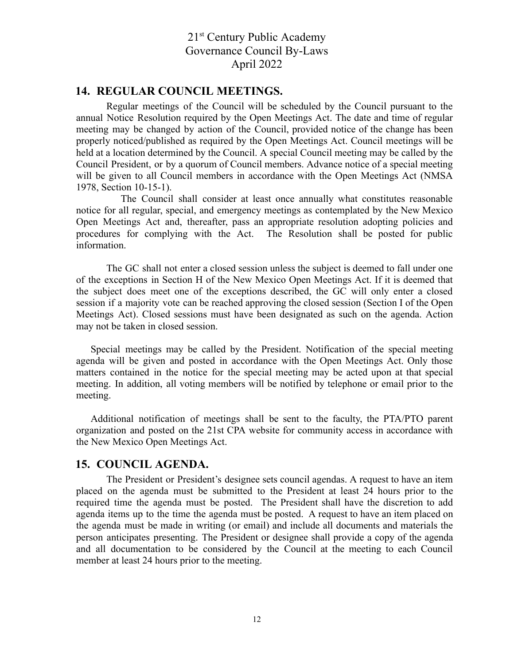### **14. REGULAR COUNCIL MEETINGS.**

Regular meetings of the Council will be scheduled by the Council pursuant to the annual Notice Resolution required by the Open Meetings Act. The date and time of regular meeting may be changed by action of the Council, provided notice of the change has been properly noticed/published as required by the Open Meetings Act. Council meetings will be held at a location determined by the Council. A special Council meeting may be called by the Council President, or by a quorum of Council members. Advance notice of a special meeting will be given to all Council members in accordance with the Open Meetings Act (NMSA 1978, Section 10-15-1).

The Council shall consider at least once annually what constitutes reasonable notice for all regular, special, and emergency meetings as contemplated by the New Mexico Open Meetings Act and, thereafter, pass an appropriate resolution adopting policies and procedures for complying with the Act. The Resolution shall be posted for public information.

The GC shall not enter a closed session unless the subject is deemed to fall under one of the exceptions in Section H of the New Mexico Open Meetings Act. If it is deemed that the subject does meet one of the exceptions described, the GC will only enter a closed session if a majority vote can be reached approving the closed session (Section I of the Open Meetings Act). Closed sessions must have been designated as such on the agenda. Action may not be taken in closed session.

Special meetings may be called by the President. Notification of the special meeting agenda will be given and posted in accordance with the Open Meetings Act. Only those matters contained in the notice for the special meeting may be acted upon at that special meeting. In addition, all voting members will be notified by telephone or email prior to the meeting.

Additional notification of meetings shall be sent to the faculty, the PTA/PTO parent organization and posted on the 21st CPA website for community access in accordance with the New Mexico Open Meetings Act.

#### **15. COUNCIL AGENDA.**

The President or President's designee sets council agendas. A request to have an item placed on the agenda must be submitted to the President at least 24 hours prior to the required time the agenda must be posted. The President shall have the discretion to add agenda items up to the time the agenda must be posted. A request to have an item placed on the agenda must be made in writing (or email) and include all documents and materials the person anticipates presenting. The President or designee shall provide a copy of the agenda and all documentation to be considered by the Council at the meeting to each Council member at least 24 hours prior to the meeting.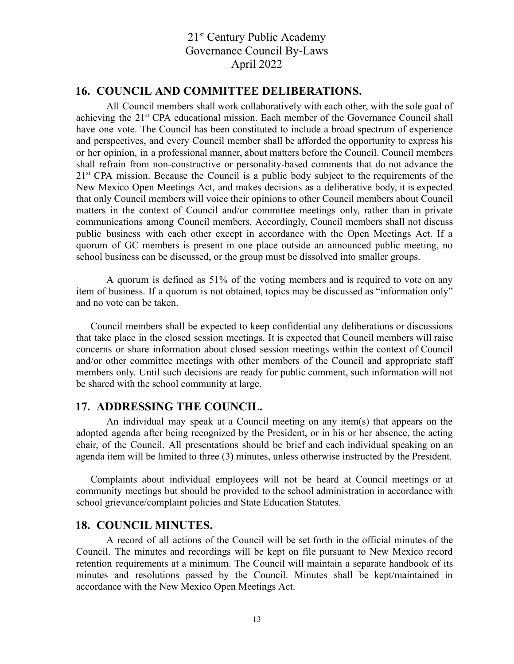### **16. COUNCIL AND COMMITTEE DELIBERATIONS.**

All Council members shall work collaboratively with each other, with the sole goal of achieving the 21<sup>st</sup> CPA educational mission. Each member of the Governance Council shall have one vote. The Council has been constituted to include a broad spectrum of experience and perspectives, and every Council member shall be afforded the opportunity to express his or her opinion, in a professional manner, about matters before the Council. Council members shall refrain from non-constructive or personality-based comments that do not advance the  $21<sup>st</sup>$  CPA mission. Because the Council is a public body subject to the requirements of the New Mexico Open Meetings Act, and makes decisions as a deliberative body, it is expected that only Council members will voice their opinions to other Council members about Council matters in the context of Council and/or committee meetings only, rather than in private communications among Council members. Accordingly, Council members shall not discuss public business with each other except in accordance with the Open Meetings Act. If a quorum of GC members is present in one place outside an announced public meeting, no school business can be discussed, or the group must be dissolved into smaller groups.

A quorum is defined as 51% of the voting members and is required to vote on any item of business. If a quorum is not obtained, topics may be discussed as "information only" and no vote can be taken.

Council members shall be expected to keep confidential any deliberations or discussions that take place in the closed session meetings. It is expected that Council members will raise concerns or share information about closed session meetings within the context of Council and/or other committee meetings with other members of the Council and appropriate staff members only. Until such decisions are ready for public comment, such information will not be shared with the school community at large.

### **17. ADDRESSING THE COUNCIL.**

An individual may speak at a Council meeting on any item(s) that appears on the adopted agenda after being recognized by the President, or in his or her absence, the acting chair, of the Council. All presentations should be brief and each individual speaking on an agenda item will be limited to three (3) minutes, unless otherwise instructed by the President.

Complaints about individual employees will not be heard at Council meetings or at community meetings but should be provided to the school administration in accordance with school grievance/complaint policies and State Education Statutes.

#### **18. COUNCIL MINUTES.**

A record of all actions of the Council will be set forth in the official minutes of the Council. The minutes and recordings will be kept on file pursuant to New Mexico record retention requirements at a minimum. The Council will maintain a separate handbook of its minutes and resolutions passed by the Council. Minutes shall be kept/maintained in accordance with the New Mexico Open Meetings Act.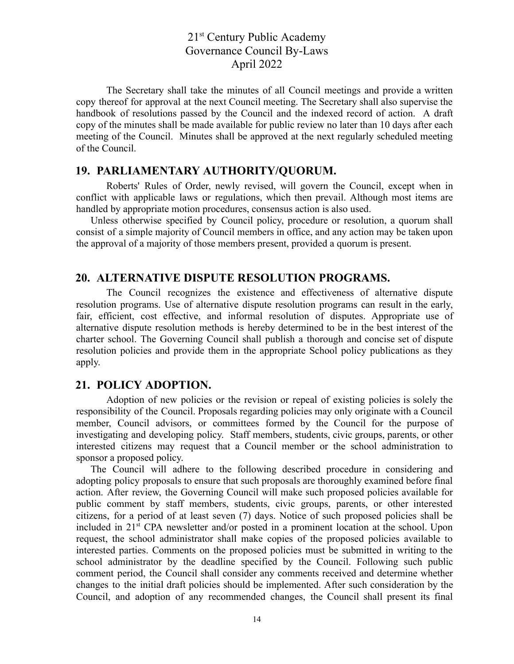The Secretary shall take the minutes of all Council meetings and provide a written copy thereof for approval at the next Council meeting. The Secretary shall also supervise the handbook of resolutions passed by the Council and the indexed record of action. A draft copy of the minutes shall be made available for public review no later than 10 days after each meeting of the Council. Minutes shall be approved at the next regularly scheduled meeting of the Council.

### **19. PARLIAMENTARY AUTHORITY/QUORUM.**

Roberts' Rules of Order, newly revised, will govern the Council, except when in conflict with applicable laws or regulations, which then prevail. Although most items are handled by appropriate motion procedures, consensus action is also used.

Unless otherwise specified by Council policy, procedure or resolution, a quorum shall consist of a simple majority of Council members in office, and any action may be taken upon the approval of a majority of those members present, provided a quorum is present.

#### **20. ALTERNATIVE DISPUTE RESOLUTION PROGRAMS.**

The Council recognizes the existence and effectiveness of alternative dispute resolution programs. Use of alternative dispute resolution programs can result in the early, fair, efficient, cost effective, and informal resolution of disputes. Appropriate use of alternative dispute resolution methods is hereby determined to be in the best interest of the charter school. The Governing Council shall publish a thorough and concise set of dispute resolution policies and provide them in the appropriate School policy publications as they apply.

### **21. POLICY ADOPTION.**

Adoption of new policies or the revision or repeal of existing policies is solely the responsibility of the Council. Proposals regarding policies may only originate with a Council member, Council advisors, or committees formed by the Council for the purpose of investigating and developing policy. Staff members, students, civic groups, parents, or other interested citizens may request that a Council member or the school administration to sponsor a proposed policy.

The Council will adhere to the following described procedure in considering and adopting policy proposals to ensure that such proposals are thoroughly examined before final action. After review, the Governing Council will make such proposed policies available for public comment by staff members, students, civic groups, parents, or other interested citizens, for a period of at least seven (7) days. Notice of such proposed policies shall be included in 21<sup>st</sup> CPA newsletter and/or posted in a prominent location at the school. Upon request, the school administrator shall make copies of the proposed policies available to interested parties. Comments on the proposed policies must be submitted in writing to the school administrator by the deadline specified by the Council. Following such public comment period, the Council shall consider any comments received and determine whether changes to the initial draft policies should be implemented. After such consideration by the Council, and adoption of any recommended changes, the Council shall present its final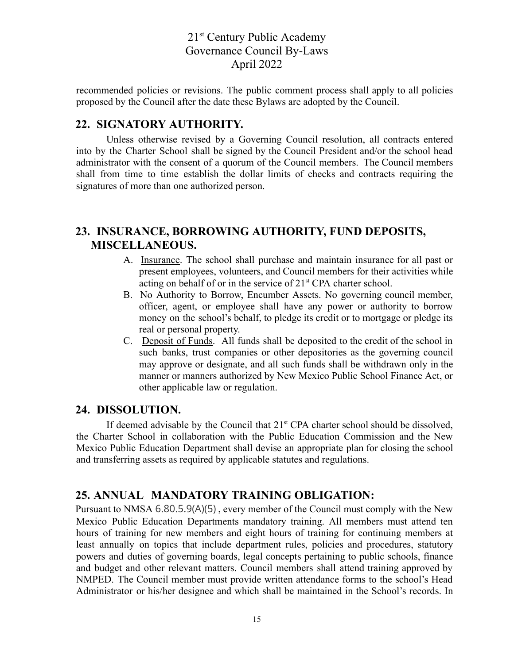recommended policies or revisions. The public comment process shall apply to all policies proposed by the Council after the date these Bylaws are adopted by the Council.

### **22. SIGNATORY AUTHORITY.**

Unless otherwise revised by a Governing Council resolution, all contracts entered into by the Charter School shall be signed by the Council President and/or the school head administrator with the consent of a quorum of the Council members. The Council members shall from time to time establish the dollar limits of checks and contracts requiring the signatures of more than one authorized person.

# **23. INSURANCE, BORROWING AUTHORITY, FUND DEPOSITS, MISCELLANEOUS.**

- A. Insurance. The school shall purchase and maintain insurance for all past or present employees, volunteers, and Council members for their activities while acting on behalf of or in the service of  $21<sup>st</sup>$  CPA charter school.
- B. No Authority to Borrow, Encumber Assets. No governing council member, officer, agent, or employee shall have any power or authority to borrow money on the school's behalf, to pledge its credit or to mortgage or pledge its real or personal property.
- C. Deposit of Funds. All funds shall be deposited to the credit of the school in such banks, trust companies or other depositories as the governing council may approve or designate, and all such funds shall be withdrawn only in the manner or manners authorized by New Mexico Public School Finance Act, or other applicable law or regulation.

### **24. DISSOLUTION.**

If deemed advisable by the Council that  $21<sup>st</sup>$  CPA charter school should be dissolved, the Charter School in collaboration with the Public Education Commission and the New Mexico Public Education Department shall devise an appropriate plan for closing the school and transferring assets as required by applicable statutes and regulations.

### **25. ANNUAL MANDATORY TRAINING OBLIGATION:**

Pursuant to NMSA 6.80.5.9(A)(5) , every member of the Council must comply with the New Mexico Public Education Departments mandatory training. All members must attend ten hours of training for new members and eight hours of training for continuing members at least annually on topics that include department rules, policies and procedures, statutory powers and duties of governing boards, legal concepts pertaining to public schools, finance and budget and other relevant matters. Council members shall attend training approved by NMPED. The Council member must provide written attendance forms to the school's Head Administrator or his/her designee and which shall be maintained in the School's records. In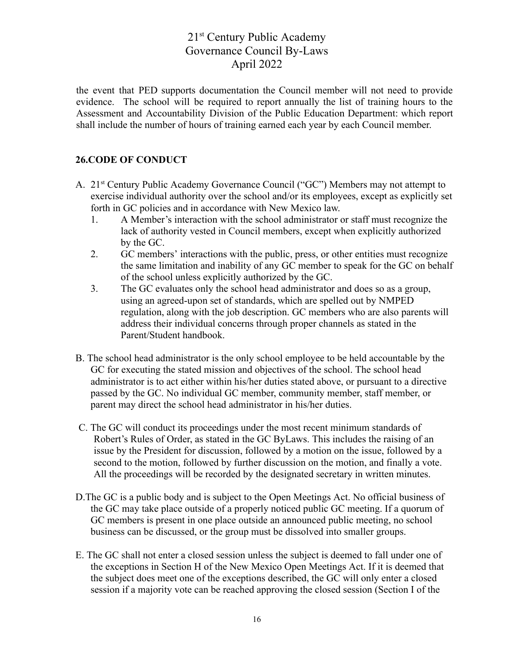the event that PED supports documentation the Council member will not need to provide evidence. The school will be required to report annually the list of training hours to the Assessment and Accountability Division of the Public Education Department: which report shall include the number of hours of training earned each year by each Council member.

### **26.CODE OF CONDUCT**

- A. 21<sup>st</sup> Century Public Academy Governance Council ("GC") Members may not attempt to exercise individual authority over the school and/or its employees, except as explicitly set forth in GC policies and in accordance with New Mexico law.
	- 1. A Member's interaction with the school administrator or staff must recognize the lack of authority vested in Council members, except when explicitly authorized by the GC.
	- 2. GC members' interactions with the public, press, or other entities must recognize the same limitation and inability of any GC member to speak for the GC on behalf of the school unless explicitly authorized by the GC.
	- 3. The GC evaluates only the school head administrator and does so as a group, using an agreed-upon set of standards, which are spelled out by NMPED regulation, along with the job description. GC members who are also parents will address their individual concerns through proper channels as stated in the Parent/Student handbook.
- B. The school head administrator is the only school employee to be held accountable by the GC for executing the stated mission and objectives of the school. The school head administrator is to act either within his/her duties stated above, or pursuant to a directive passed by the GC. No individual GC member, community member, staff member, or parent may direct the school head administrator in his/her duties.
- C. The GC will conduct its proceedings under the most recent minimum standards of Robert's Rules of Order, as stated in the GC ByLaws. This includes the raising of an issue by the President for discussion, followed by a motion on the issue, followed by a second to the motion, followed by further discussion on the motion, and finally a vote. All the proceedings will be recorded by the designated secretary in written minutes.
- D.The GC is a public body and is subject to the Open Meetings Act. No official business of the GC may take place outside of a properly noticed public GC meeting. If a quorum of GC members is present in one place outside an announced public meeting, no school business can be discussed, or the group must be dissolved into smaller groups.
- E. The GC shall not enter a closed session unless the subject is deemed to fall under one of the exceptions in Section H of the New Mexico Open Meetings Act. If it is deemed that the subject does meet one of the exceptions described, the GC will only enter a closed session if a majority vote can be reached approving the closed session (Section I of the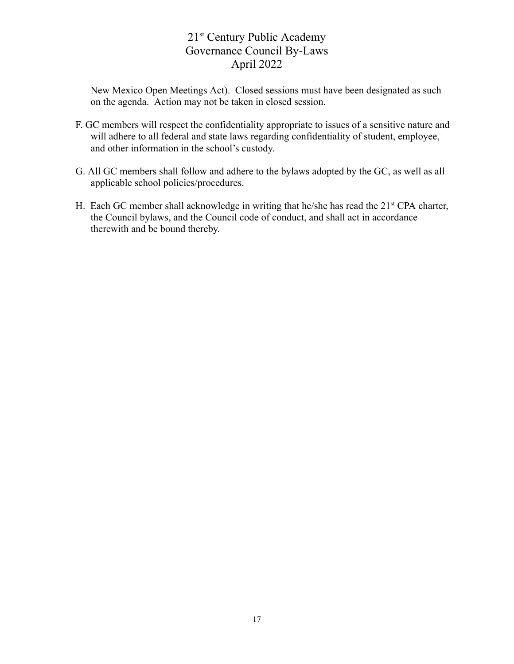New Mexico Open Meetings Act). Closed sessions must have been designated as such on the agenda. Action may not be taken in closed session.

- F. GC members will respect the confidentiality appropriate to issues of a sensitive nature and will adhere to all federal and state laws regarding confidentiality of student, employee, and other information in the school's custody.
- G. All GC members shall follow and adhere to the bylaws adopted by the GC, as well as all applicable school policies/procedures.
- H. Each GC member shall acknowledge in writing that he/she has read the  $21<sup>st</sup>$  CPA charter, the Council bylaws, and the Council code of conduct, and shall act in accordance therewith and be bound thereby.